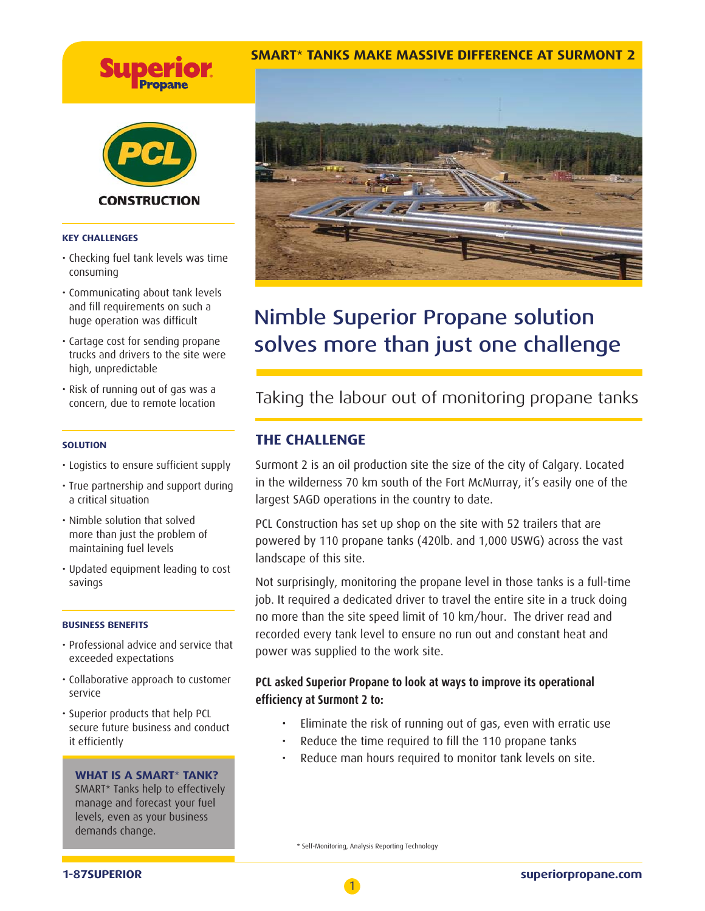



#### **KEY CHALLENGES**

- Checking fuel tank levels was time consuming
- Communicating about tank levels and fill requirements on such a huge operation was difficult
- Cartage cost for sending propane trucks and drivers to the site were high, unpredictable
- Risk of running out of gas was a concern, due to remote location

#### **SOLUTION**

- Logistics to ensure sufficient supply
- True partnership and support during a critical situation
- Nimble solution that solved more than just the problem of maintaining fuel levels
- Updated equipment leading to cost savings

#### **BUSINESS BENEFITS**

- Professional advice and service that exceeded expectations
- Collaborative approach to customer service
- Superior products that help PCL secure future business and conduct it efficiently

### **WHAT IS A SMART**\* **TANK?**

SMART\* Tanks help to effectively manage and forecast your fuel levels, even as your business demands change.

## **SMART**\* **TANKS MAKE MASSIVE DIFFERENCE AT SURMONT 2**



# $S<sub>1</sub>$  mate than just one shallong solves more than just one challenge

# Taking the labour out of monitoring propane tanks

## **THE CHALLENGE**

Surmont 2 is an oil production site the size of the city of Calgary. Located in the wilderness 70 km south of the Fort McMurray, it's easily one of the largest SAGD operations in the country to date.

PCL Construction has set up shop on the site with 52 trailers that are powered by 110 propane tanks (420lb. and 1,000 USWG) across the vast landscape of this site.

Not surprisingly, monitoring the propane level in those tanks is a full-time job. It required a dedicated driver to travel the entire site in a truck doing no more than the site speed limit of 10 km/hour. The driver read and recorded every tank level to ensure no run out and constant heat and power was supplied to the work site.

## **PCL asked Superior Propane to look at ways to improve its operational effi ciency at Surmont 2 to:**

- Eliminate the risk of running out of gas, even with erratic use
- Reduce the time required to fill the 110 propane tanks
- Reduce man hours required to monitor tank levels on site.

\* Self-Monitoring, Analysis Reporting Technology

1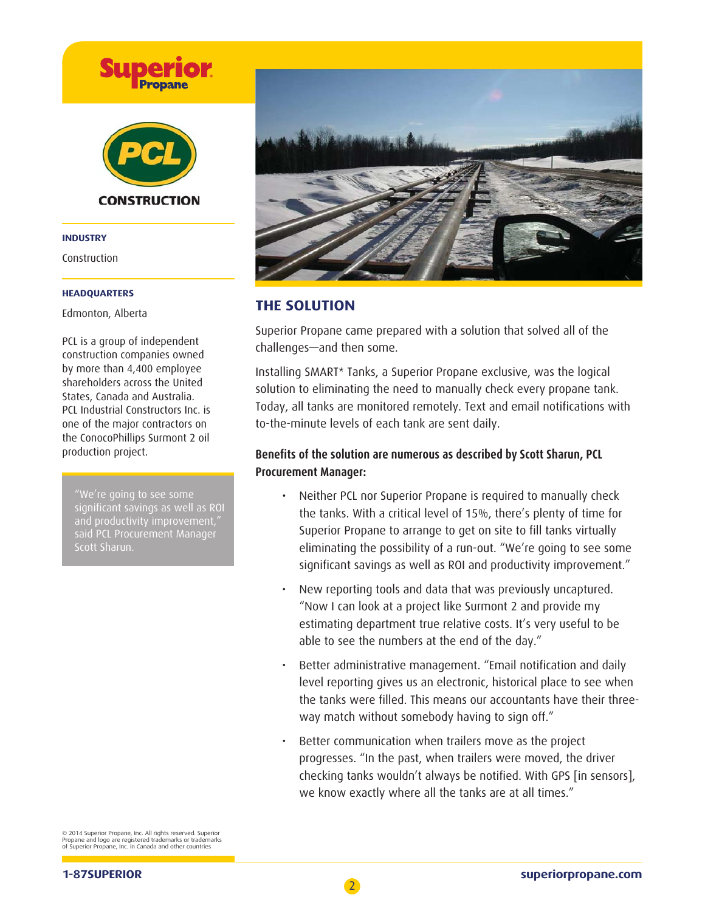

#### **INDUSTRY**

Construction

### **HEADQUARTERS**

Edmonton, Alberta

PCL is a group of independent construction companies owned by more than 4,400 employee shareholders across the United States, Canada and Australia. PCL Industrial Constructors Inc. is one of the major contractors on the ConocoPhillips Surmont 2 oil production project.

"We're going to see some significant savings as well as ROI and productivity improvement, said PCL Procurement Manager Scott Sharun.



## **THE SOLUTION**

Superior Propane came prepared with a solution that solved all of the challenges—and then some.

Installing SMART\* Tanks, a Superior Propane exclusive, was the logical solution to eliminating the need to manually check every propane tank. Today, all tanks are monitored remotely. Text and email notifications with to-the-minute levels of each tank are sent daily.

## Benefits of the solution are numerous as described by Scott Sharun, PCL **Procurement Manager:**

- Neither PCL nor Superior Propane is required to manually check the tanks. With a critical level of 15%, there's plenty of time for Superior Propane to arrange to get on site to fill tanks virtually eliminating the possibility of a run-out. "We're going to see some significant savings as well as ROI and productivity improvement."
- New reporting tools and data that was previously uncaptured. "Now I can look at a project like Surmont 2 and provide my estimating department true relative costs. It's very useful to be able to see the numbers at the end of the day."
- Better administrative management. "Email notification and daily level reporting gives us an electronic, historical place to see when the tanks were filled. This means our accountants have their threeway match without somebody having to sign off."
- Better communication when trailers move as the project progresses. "In the past, when trailers were moved, the driver checking tanks wouldn't always be notified. With GPS [in sensors], we know exactly where all the tanks are at all times."

© 2014 Superior Propane, Inc. All rights reserved. Superior Propane and logo are registered trademarks or trademarks of Superior Propane, Inc. in Canada and other countries

**1-87SUPERIOR superiorpropane.com**